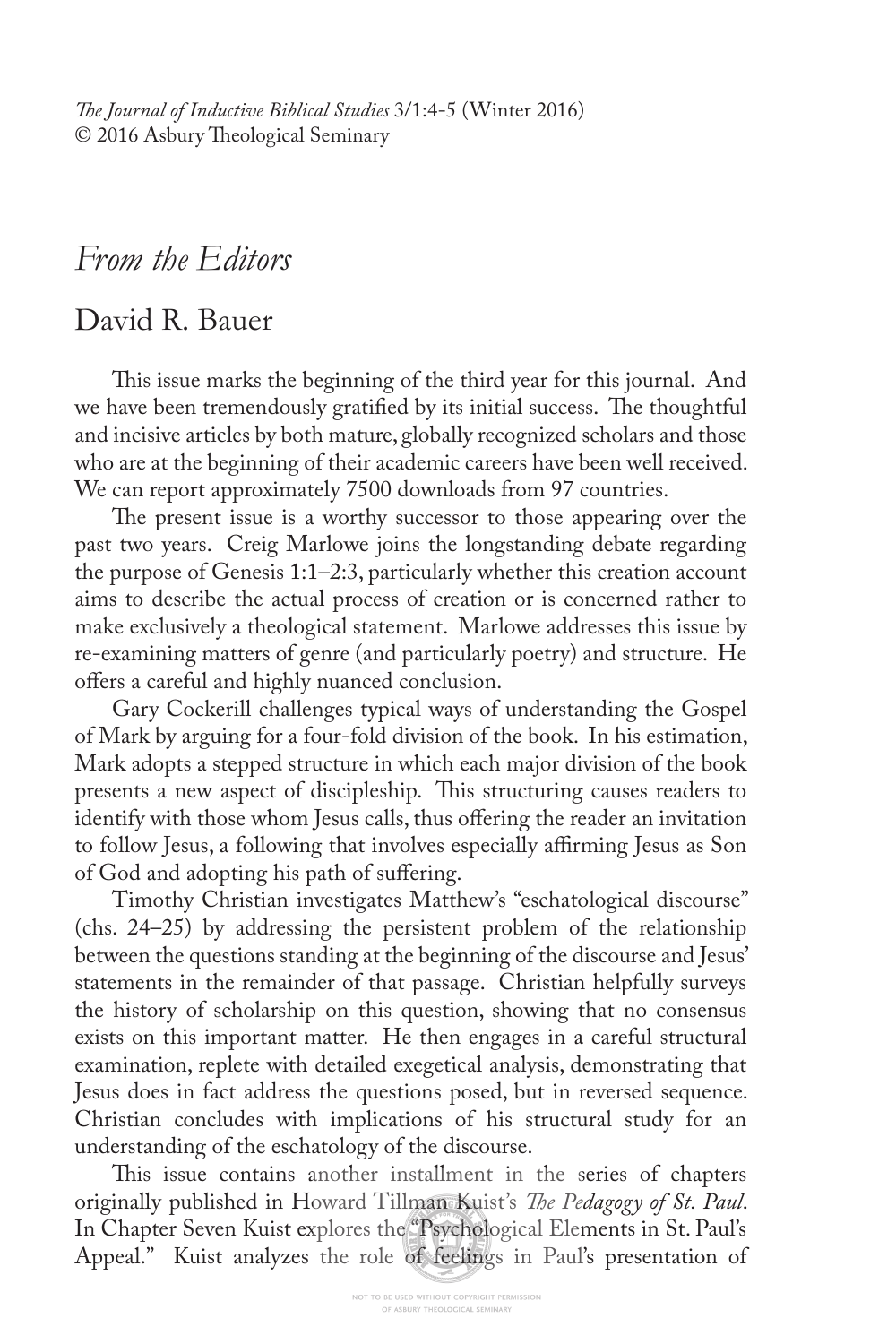*Te Journal of Inductive Biblical Studies* 3/1:4-5 (Winter 2016) © 2016 Asbury Theological Seminary

## *From the Editors*

## David R. Bauer

This issue marks the beginning of the third year for this journal. And we have been tremendously gratified by its initial success. The thoughtful and incisive articles by both mature, globally recognized scholars and those who are at the beginning of their academic careers have been well received. We can report approximately 7500 downloads from 97 countries.

The present issue is a worthy successor to those appearing over the past two years. Creig Marlowe joins the longstanding debate regarding the purpose of Genesis 1:1–2:3, particularly whether this creation account aims to describe the actual process of creation or is concerned rather to make exclusively a theological statement. Marlowe addresses this issue by re-examining matters of genre (and particularly poetry) and structure. He ofers a careful and highly nuanced conclusion.

Gary Cockerill challenges typical ways of understanding the Gospel of Mark by arguing for a four-fold division of the book. In his estimation, Mark adopts a stepped structure in which each major division of the book presents a new aspect of discipleship. This structuring causes readers to identify with those whom Jesus calls, thus offering the reader an invitation to follow Jesus, a following that involves especially affirming Jesus as Son of God and adopting his path of sufering.

Timothy Christian investigates Matthew's "eschatological discourse" (chs. 24–25) by addressing the persistent problem of the relationship between the questions standing at the beginning of the discourse and Jesus' statements in the remainder of that passage. Christian helpfully surveys the history of scholarship on this question, showing that no consensus exists on this important matter. He then engages in a careful structural examination, replete with detailed exegetical analysis, demonstrating that Jesus does in fact address the questions posed, but in reversed sequence. Christian concludes with implications of his structural study for an understanding of the eschatology of the discourse.

This issue contains another installment in the series of chapters originally published in Howard Tillman Kuist's *Te Pedagogy of St. Paul*. In Chapter Seven Kuist explores the "Psychological Elements in St. Paul's Appeal." Kuist analyzes the role of feelings in Paul's presentation of